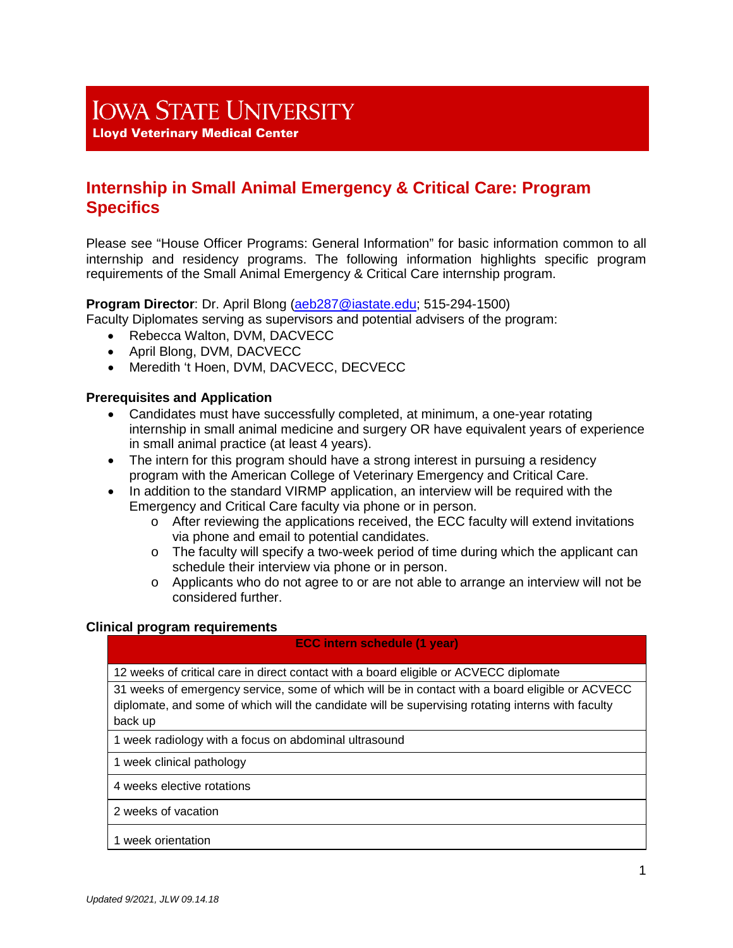# **IOWA STATE UNIVERSITY**

**Lloyd Veterinary Medical Center** 

# **Internship in Small Animal Emergency & Critical Care: Program Specifics**

Please see "House Officer Programs: General Information" for basic information common to all internship and residency programs. The following information highlights specific program requirements of the Small Animal Emergency & Critical Care internship program.

# **Program Director**: Dr. April Blong [\(aeb287@iastate.edu;](mailto:aeb287@iastate.edu) 515-294-1500)

Faculty Diplomates serving as supervisors and potential advisers of the program:

- Rebecca Walton, DVM, DACVECC
- April Blong, DVM, DACVECC
- Meredith 't Hoen, DVM, DACVECC, DECVECC

# **Prerequisites and Application**

- Candidates must have successfully completed, at minimum, a one-year rotating internship in small animal medicine and surgery OR have equivalent years of experience in small animal practice (at least 4 years).
- The intern for this program should have a strong interest in pursuing a residency program with the American College of Veterinary Emergency and Critical Care.
- In addition to the standard VIRMP application, an interview will be required with the Emergency and Critical Care faculty via phone or in person.
	- o After reviewing the applications received, the ECC faculty will extend invitations via phone and email to potential candidates.
	- $\circ$  The faculty will specify a two-week period of time during which the applicant can schedule their interview via phone or in person.
	- $\circ$  Applicants who do not agree to or are not able to arrange an interview will not be considered further.

#### **Clinical program requirements**

#### **ECC intern schedule (1 year)**

12 weeks of critical care in direct contact with a board eligible or ACVECC diplomate

31 weeks of emergency service, some of which will be in contact with a board eligible or ACVECC diplomate, and some of which will the candidate will be supervising rotating interns with faculty back up

1 week radiology with a focus on abdominal ultrasound

1 week clinical pathology

4 weeks elective rotations

2 weeks of vacation

#### 1 week orientation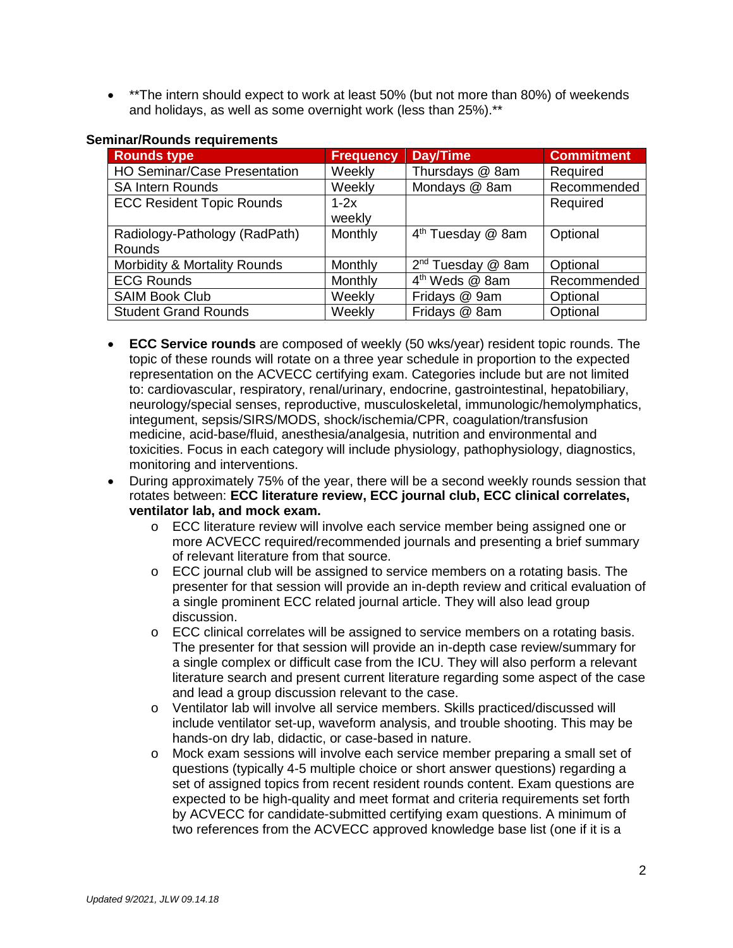• \*\*The intern should expect to work at least 50% (but not more than 80%) of weekends and holidays, as well as some overnight work (less than 25%).\*\*

| <b>Rounds type</b>                  | <b>Frequency</b> | <b>Day/Time</b>               | <b>Commitment</b> |  |
|-------------------------------------|------------------|-------------------------------|-------------------|--|
| <b>HO Seminar/Case Presentation</b> | Weekly           | Thursdays @ 8am               | Required          |  |
| <b>SA Intern Rounds</b>             | Weekly           | Mondays @ 8am                 | Recommended       |  |
| <b>ECC Resident Topic Rounds</b>    | $1-2x$           |                               | Required          |  |
|                                     | weekly           |                               |                   |  |
| Radiology-Pathology (RadPath)       | Monthly          | 4 <sup>th</sup> Tuesday @ 8am | Optional          |  |
| <b>Rounds</b>                       |                  |                               |                   |  |
| Morbidity & Mortality Rounds        | Monthly          | 2 <sup>nd</sup> Tuesday @ 8am | Optional          |  |
| <b>ECG Rounds</b>                   | Monthly          | 4 <sup>th</sup> Weds @ 8am    | Recommended       |  |
| <b>SAIM Book Club</b>               | Weekly           | Fridays @ 9am                 | Optional          |  |
| <b>Student Grand Rounds</b>         | Weekly           | Fridays @ 8am                 | Optional          |  |

#### **Seminar/Rounds requirements**

- **ECC Service rounds** are composed of weekly (50 wks/year) resident topic rounds. The topic of these rounds will rotate on a three year schedule in proportion to the expected representation on the ACVECC certifying exam. Categories include but are not limited to: cardiovascular, respiratory, renal/urinary, endocrine, gastrointestinal, hepatobiliary, neurology/special senses, reproductive, musculoskeletal, immunologic/hemolymphatics, integument, sepsis/SIRS/MODS, shock/ischemia/CPR, coagulation/transfusion medicine, acid-base/fluid, anesthesia/analgesia, nutrition and environmental and toxicities. Focus in each category will include physiology, pathophysiology, diagnostics, monitoring and interventions.
- During approximately 75% of the year, there will be a second weekly rounds session that rotates between: **ECC literature review, ECC journal club, ECC clinical correlates, ventilator lab, and mock exam.**
	- o ECC literature review will involve each service member being assigned one or more ACVECC required/recommended journals and presenting a brief summary of relevant literature from that source.
	- $\circ$  ECC journal club will be assigned to service members on a rotating basis. The presenter for that session will provide an in-depth review and critical evaluation of a single prominent ECC related journal article. They will also lead group discussion.
	- o ECC clinical correlates will be assigned to service members on a rotating basis. The presenter for that session will provide an in-depth case review/summary for a single complex or difficult case from the ICU. They will also perform a relevant literature search and present current literature regarding some aspect of the case and lead a group discussion relevant to the case.
	- o Ventilator lab will involve all service members. Skills practiced/discussed will include ventilator set-up, waveform analysis, and trouble shooting. This may be hands-on dry lab, didactic, or case-based in nature.
	- o Mock exam sessions will involve each service member preparing a small set of questions (typically 4-5 multiple choice or short answer questions) regarding a set of assigned topics from recent resident rounds content. Exam questions are expected to be high-quality and meet format and criteria requirements set forth by ACVECC for candidate-submitted certifying exam questions. A minimum of two references from the ACVECC approved knowledge base list (one if it is a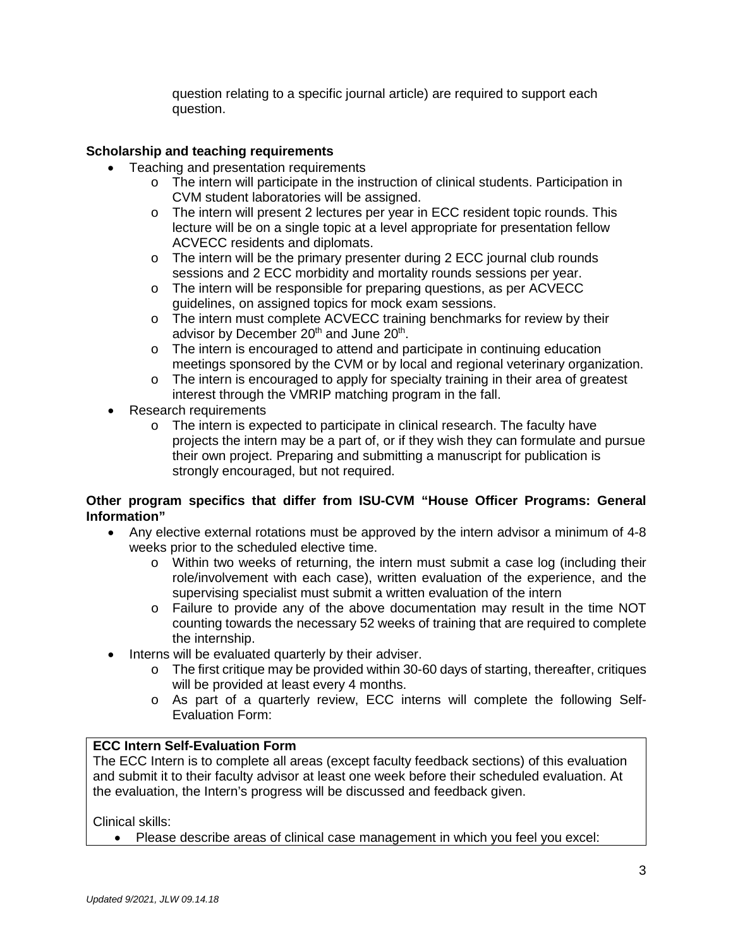question relating to a specific journal article) are required to support each question.

# **Scholarship and teaching requirements**

- Teaching and presentation requirements
	- o The intern will participate in the instruction of clinical students. Participation in CVM student laboratories will be assigned.
	- o The intern will present 2 lectures per year in ECC resident topic rounds. This lecture will be on a single topic at a level appropriate for presentation fellow ACVECC residents and diplomats.
	- $\circ$  The intern will be the primary presenter during 2 ECC journal club rounds sessions and 2 ECC morbidity and mortality rounds sessions per year.
	- o The intern will be responsible for preparing questions, as per ACVECC guidelines, on assigned topics for mock exam sessions.
	- o The intern must complete ACVECC training benchmarks for review by their advisor by December 20<sup>th</sup> and June 20<sup>th</sup>.
	- o The intern is encouraged to attend and participate in continuing education meetings sponsored by the CVM or by local and regional veterinary organization.
	- o The intern is encouraged to apply for specialty training in their area of greatest interest through the VMRIP matching program in the fall.
- Research requirements
	- $\circ$  The intern is expected to participate in clinical research. The faculty have projects the intern may be a part of, or if they wish they can formulate and pursue their own project. Preparing and submitting a manuscript for publication is strongly encouraged, but not required.

# **Other program specifics that differ from ISU-CVM "House Officer Programs: General Information"**

- Any elective external rotations must be approved by the intern advisor a minimum of 4-8 weeks prior to the scheduled elective time.
	- $\circ$  Within two weeks of returning, the intern must submit a case log (including their role/involvement with each case), written evaluation of the experience, and the supervising specialist must submit a written evaluation of the intern
	- o Failure to provide any of the above documentation may result in the time NOT counting towards the necessary 52 weeks of training that are required to complete the internship.
- Interns will be evaluated quarterly by their adviser.
	- $\circ$  The first critique may be provided within 30-60 days of starting, thereafter, critiques will be provided at least every 4 months.
	- o As part of a quarterly review, ECC interns will complete the following Self-Evaluation Form:

# **ECC Intern Self-Evaluation Form**

The ECC Intern is to complete all areas (except faculty feedback sections) of this evaluation and submit it to their faculty advisor at least one week before their scheduled evaluation. At the evaluation, the Intern's progress will be discussed and feedback given.

Clinical skills:

• Please describe areas of clinical case management in which you feel you excel: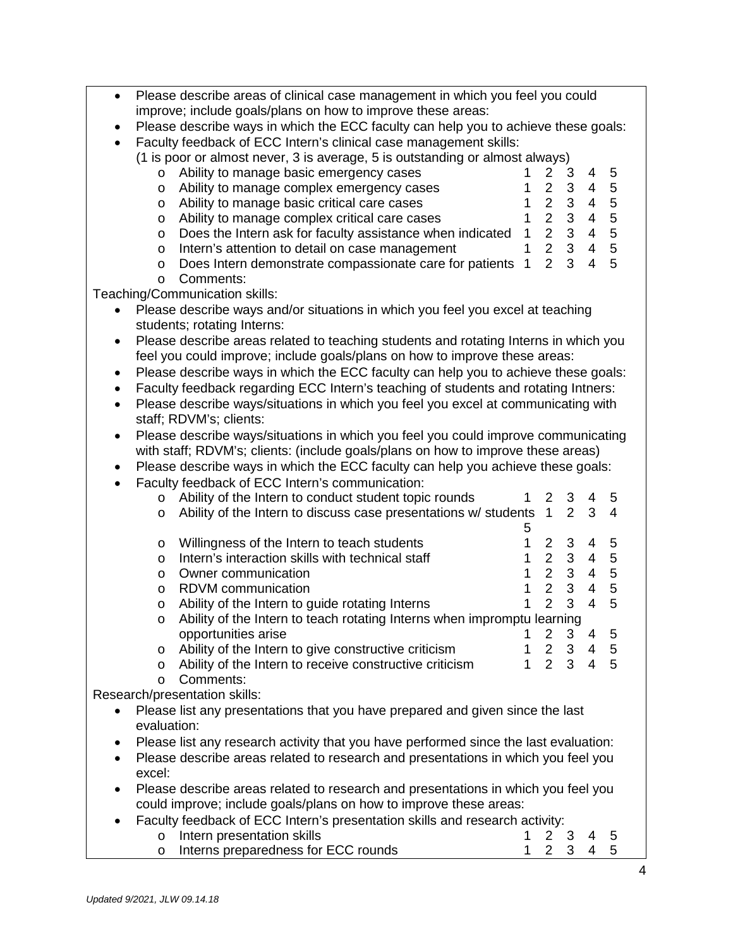| $\bullet$ |                                                                                    | Please describe areas of clinical case management in which you feel you could<br>improve; include goals/plans on how to improve these areas: |                |                |                           |                          |                |
|-----------|------------------------------------------------------------------------------------|----------------------------------------------------------------------------------------------------------------------------------------------|----------------|----------------|---------------------------|--------------------------|----------------|
| ٠         | Please describe ways in which the ECC faculty can help you to achieve these goals: |                                                                                                                                              |                |                |                           |                          |                |
| $\bullet$ | Faculty feedback of ECC Intern's clinical case management skills:                  |                                                                                                                                              |                |                |                           |                          |                |
|           |                                                                                    | (1 is poor or almost never, 3 is average, 5 is outstanding or almost always)                                                                 |                |                |                           |                          |                |
|           | $\circ$                                                                            | Ability to manage basic emergency cases                                                                                                      |                | $\overline{2}$ | 3                         | 4                        | 5              |
|           | O                                                                                  | Ability to manage complex emergency cases                                                                                                    |                | $\overline{2}$ | $\ensuremath{\mathsf{3}}$ | $\overline{4}$           | $\overline{5}$ |
|           | O                                                                                  | Ability to manage basic critical care cases                                                                                                  | 1              | $\overline{2}$ |                           | $\overline{4}$           | 5              |
|           | O                                                                                  | Ability to manage complex critical care cases                                                                                                | 1              | $\overline{2}$ | $\frac{3}{3}$             | $\overline{4}$           | 5              |
|           | O                                                                                  | Does the Intern ask for faculty assistance when indicated                                                                                    | $\mathbf{1}$   | $\overline{2}$ | $\mathbf{3}$              | $\overline{4}$           | 5              |
|           | O                                                                                  | Intern's attention to detail on case management                                                                                              | 1              | 2 <sup>1</sup> | 3                         | $\overline{4}$           | 5              |
|           | O                                                                                  | Does Intern demonstrate compassionate care for patients                                                                                      | $\overline{1}$ | $\overline{2}$ | 3                         | $\overline{\mathcal{L}}$ | 5              |
|           | O                                                                                  | Comments:                                                                                                                                    |                |                |                           |                          |                |
|           |                                                                                    | Teaching/Communication skills:                                                                                                               |                |                |                           |                          |                |
|           |                                                                                    | Please describe ways and/or situations in which you feel you excel at teaching                                                               |                |                |                           |                          |                |
|           |                                                                                    | students; rotating Interns:                                                                                                                  |                |                |                           |                          |                |
| ٠         |                                                                                    | Please describe areas related to teaching students and rotating Interns in which you                                                         |                |                |                           |                          |                |
|           |                                                                                    | feel you could improve; include goals/plans on how to improve these areas:                                                                   |                |                |                           |                          |                |
| ٠         |                                                                                    | Please describe ways in which the ECC faculty can help you to achieve these goals:                                                           |                |                |                           |                          |                |
| ٠         |                                                                                    | Faculty feedback regarding ECC Intern's teaching of students and rotating Intners:                                                           |                |                |                           |                          |                |
| $\bullet$ |                                                                                    | Please describe ways/situations in which you feel you excel at communicating with                                                            |                |                |                           |                          |                |
|           |                                                                                    | staff; RDVM's; clients:                                                                                                                      |                |                |                           |                          |                |
| ٠         |                                                                                    | Please describe ways/situations in which you feel you could improve communicating                                                            |                |                |                           |                          |                |
|           |                                                                                    | with staff; RDVM's; clients: (include goals/plans on how to improve these areas)                                                             |                |                |                           |                          |                |
| ٠         |                                                                                    | Please describe ways in which the ECC faculty can help you achieve these goals:                                                              |                |                |                           |                          |                |
| $\bullet$ |                                                                                    | Faculty feedback of ECC Intern's communication:                                                                                              |                |                |                           |                          |                |
|           | O                                                                                  | Ability of the Intern to conduct student topic rounds                                                                                        | 1              | 2              | 3                         | 4                        | 5              |
|           | O                                                                                  | Ability of the Intern to discuss case presentations w/ students 1                                                                            |                |                | 2                         | 3                        | 4              |
|           |                                                                                    |                                                                                                                                              | 5              |                |                           |                          |                |
|           | O                                                                                  | Willingness of the Intern to teach students                                                                                                  | 1              | $\overline{2}$ | 3                         | 4                        | 5              |
|           | O                                                                                  | Intern's interaction skills with technical staff                                                                                             | 1              | $\overline{2}$ | $\ensuremath{\mathsf{3}}$ | $\overline{4}$           | 5              |
|           | O                                                                                  | Owner communication                                                                                                                          | 1              | $\overline{2}$ | $3 \quad 4$               |                          | 5              |
|           | O                                                                                  | RDVM communication                                                                                                                           | 1              | $\overline{2}$ | $\mathbf{3}$              | $\overline{4}$           | 5              |
|           | O                                                                                  | Ability of the Intern to guide rotating Interns                                                                                              | 1              | $\overline{2}$ | 3                         | $\overline{4}$           | 5              |
|           | Ability of the Intern to teach rotating Interns when impromptu learning<br>O       |                                                                                                                                              |                |                |                           |                          |                |
|           |                                                                                    | opportunities arise                                                                                                                          |                |                | $\overline{3}$            | 4                        | 5              |
|           | O                                                                                  | Ability of the Intern to give constructive criticism                                                                                         | $\mathbf{1}$   | $\frac{2}{2}$  | $\mathbf{3}$              | $\overline{4}$           | 5              |
|           | O                                                                                  | Ability of the Intern to receive constructive criticism                                                                                      | $\mathbf{1}$   | $\mathcal{P}$  | 3                         | $\overline{\mathbf{4}}$  | 5              |
|           | $\circ$                                                                            | Comments:                                                                                                                                    |                |                |                           |                          |                |
|           |                                                                                    | Research/presentation skills:                                                                                                                |                |                |                           |                          |                |
| $\bullet$ |                                                                                    | Please list any presentations that you have prepared and given since the last                                                                |                |                |                           |                          |                |
|           | evaluation:                                                                        |                                                                                                                                              |                |                |                           |                          |                |
|           |                                                                                    | Please list any research activity that you have performed since the last evaluation:                                                         |                |                |                           |                          |                |
|           |                                                                                    | Please describe areas related to research and presentations in which you feel you                                                            |                |                |                           |                          |                |
|           | excel:                                                                             |                                                                                                                                              |                |                |                           |                          |                |
|           |                                                                                    | Please describe areas related to research and presentations in which you feel you                                                            |                |                |                           |                          |                |
|           |                                                                                    | could improve; include goals/plans on how to improve these areas:                                                                            |                |                |                           |                          |                |
|           |                                                                                    | Faculty feedback of ECC Intern's presentation skills and research activity:                                                                  |                |                |                           |                          |                |
|           | $\circ$                                                                            | Intern presentation skills                                                                                                                   | 1              | 2              | 3                         | 4                        | 5              |
|           | $\circ$                                                                            | Interns preparedness for ECC rounds                                                                                                          | 1              | $\overline{2}$ | 3                         | $\overline{4}$           | 5              |
|           |                                                                                    |                                                                                                                                              |                |                |                           |                          |                |